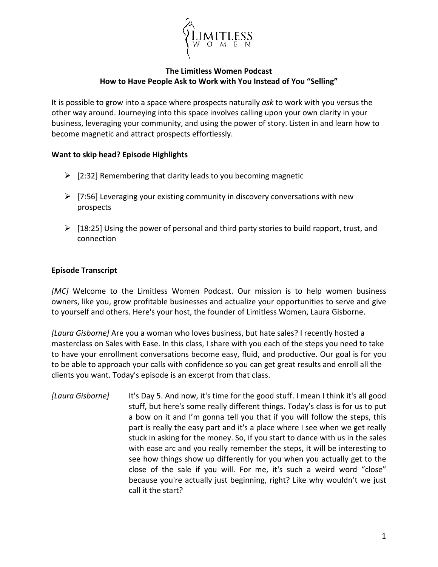

## **The Limitless Women Podcast How to Have People Ask to Work with You Instead of You "Selling"**

It is possible to grow into a space where prospects naturally *ask* to work with you versus the other way around. Journeying into this space involves calling upon your own clarity in your business, leveraging your community, and using the power of story. Listen in and learn how to become magnetic and attract prospects effortlessly.

## **Want to skip head? Episode Highlights**

- $\geq$  [2:32] Remembering that clarity leads to you becoming magnetic
- $\triangleright$  [7:56] Leveraging your existing community in discovery conversations with new prospects
- $\triangleright$  [18:25] Using the power of personal and third party stories to build rapport, trust, and connection

## **Episode Transcript**

[MC] Welcome to the Limitless Women Podcast. Our mission is to help women business owners, like you, grow profitable businesses and actualize your opportunities to serve and give to yourself and others. Here's your host, the founder of Limitless Women, Laura Gisborne.

*[Laura Gisborne]* Are you a woman who loves business, but hate sales? I recently hosted a masterclass on Sales with Ease. In this class, I share with you each of the steps you need to take to have your enrollment conversations become easy, fluid, and productive. Our goal is for you to be able to approach your calls with confidence so you can get great results and enroll all the clients you want. Today's episode is an excerpt from that class.

*[Laura Gisborne]* It's Day 5. And now, it's time for the good stuff. I mean I think it's all good stuff, but here's some really different things. Today's class is for us to put a bow on it and I'm gonna tell you that if you will follow the steps, this part is really the easy part and it's a place where I see when we get really stuck in asking for the money. So, if you start to dance with us in the sales with ease arc and you really remember the steps, it will be interesting to see how things show up differently for you when you actually get to the close of the sale if you will. For me, it's such a weird word "close" because you're actually just beginning, right? Like why wouldn't we just call it the start?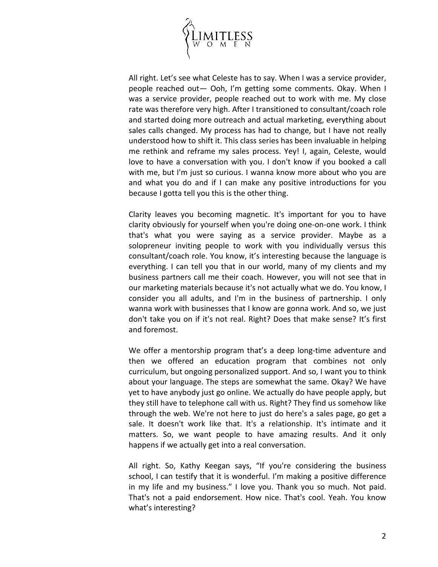

All right. Let's see what Celeste has to say. When I was a service provider, people reached out— Ooh, I'm getting some comments. Okay. When I was a service provider, people reached out to work with me. My close rate was therefore very high. After I transitioned to consultant/coach role and started doing more outreach and actual marketing, everything about sales calls changed. My process has had to change, but I have not really understood how to shift it. This class series has been invaluable in helping me rethink and reframe my sales process. Yey! I, again, Celeste, would love to have a conversation with you. I don't know if you booked a call with me, but I'm just so curious. I wanna know more about who you are and what you do and if I can make any positive introductions for you because I gotta tell you this is the other thing.

Clarity leaves you becoming magnetic. It's important for you to have clarity obviously for yourself when you're doing one-on-one work. I think that's what you were saying as a service provider. Maybe as a solopreneur inviting people to work with you individually versus this consultant/coach role. You know, it's interesting because the language is everything. I can tell you that in our world, many of my clients and my business partners call me their coach. However, you will not see that in our marketing materials because it's not actually what we do. You know, I consider you all adults, and I'm in the business of partnership. I only wanna work with businesses that I know are gonna work. And so, we just don't take you on if it's not real. Right? Does that make sense? It's first and foremost.

We offer a mentorship program that's a deep long-time adventure and then we offered an education program that combines not only curriculum, but ongoing personalized support. And so, I want you to think about your language. The steps are somewhat the same. Okay? We have yet to have anybody just go online. We actually do have people apply, but they still have to telephone call with us. Right? They find us somehow like through the web. We're not here to just do here's a sales page, go get a sale. It doesn't work like that. It's a relationship. It's intimate and it matters. So, we want people to have amazing results. And it only happens if we actually get into a real conversation.

All right. So, Kathy Keegan says, "If you're considering the business school, I can testify that it is wonderful. I'm making a positive difference in my life and my business." I love you. Thank you so much. Not paid. That's not a paid endorsement. How nice. That's cool. Yeah. You know what's interesting?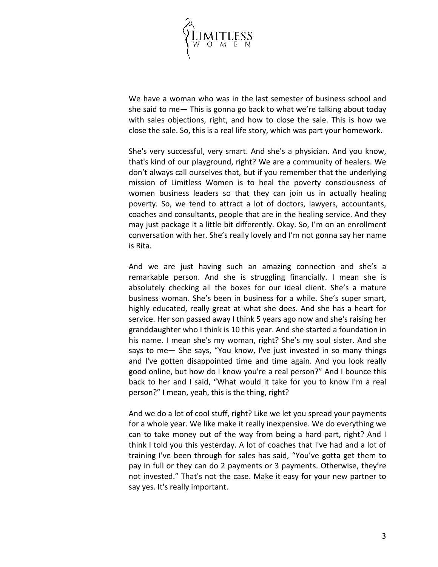

We have a woman who was in the last semester of business school and she said to me— This is gonna go back to what we're talking about today with sales objections, right, and how to close the sale. This is how we close the sale. So, this is a real life story, which was part your homework.

She's very successful, very smart. And she's a physician. And you know, that's kind of our playground, right? We are a community of healers. We don't always call ourselves that, but if you remember that the underlying mission of Limitless Women is to heal the poverty consciousness of women business leaders so that they can join us in actually healing poverty. So, we tend to attract a lot of doctors, lawyers, accountants, coaches and consultants, people that are in the healing service. And they may just package it a little bit differently. Okay. So, I'm on an enrollment conversation with her. She's really lovely and I'm not gonna say her name is Rita.

And we are just having such an amazing connection and she's a remarkable person. And she is struggling financially. I mean she is absolutely checking all the boxes for our ideal client. She's a mature business woman. She's been in business for a while. She's super smart, highly educated, really great at what she does. And she has a heart for service. Her son passed away I think 5 years ago now and she's raising her granddaughter who I think is 10 this year. And she started a foundation in his name. I mean she's my woman, right? She's my soul sister. And she says to me— She says, "You know, I've just invested in so many things and I've gotten disappointed time and time again. And you look really good online, but how do I know you're a real person?" And I bounce this back to her and I said, "What would it take for you to know I'm a real person?" I mean, yeah, this is the thing, right?

And we do a lot of cool stuff, right? Like we let you spread your payments for a whole year. We like make it really inexpensive. We do everything we can to take money out of the way from being a hard part, right? And I think I told you this yesterday. A lot of coaches that I've had and a lot of training I've been through for sales has said, "You've gotta get them to pay in full or they can do 2 payments or 3 payments. Otherwise, they're not invested." That's not the case. Make it easy for your new partner to say yes. It's really important.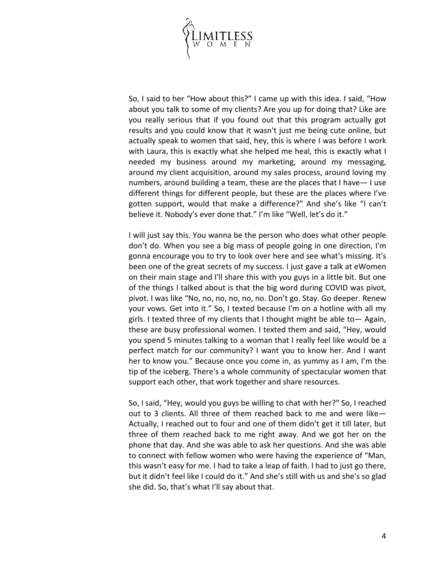

So, I said to her "How about this?" I came up with this idea. I said, "How about you talk to some of my clients? Are you up for doing that? Like are you really serious that if you found out that this program actually got results and you could know that it wasn't just me being cute online, but actually speak to women that said, hey, this is where I was before I work with Laura, this is exactly what she helped me heal, this is exactly what I needed my business around my marketing, around my messaging, around my client acquisition, around my sales process, around loving my numbers, around building a team, these are the places that I have— I use different things for different people, but these are the places where I've gotten support, would that make a difference?" And she's like "I can't believe it. Nobody's ever done that." I'm like "Well, let's do it."

I will just say this. You wanna be the person who does what other people don't do. When you see a big mass of people going in one direction, I'm gonna encourage you to try to look over here and see what's missing. It's been one of the great secrets of my success. I just gave a talk at eWomen on their main stage and I'll share this with you guys in a little bit. But one of the things I talked about is that the big word during COVID was pivot, pivot. I was like "No, no, no, no, no, no. Don't go. Stay. Go deeper. Renew your vows. Get into it." So, I texted because I'm on a hotline with all my girls. I texted three of my clients that I thought might be able to— Again, these are busy professional women. I texted them and said, "Hey, would you spend 5 minutes talking to a woman that I really feel like would be a perfect match for our community? I want you to know her. And I want her to know you." Because once you come in, as yummy as I am, I'm the tip of the iceberg. There's a whole community of spectacular women that support each other, that work together and share resources.

So, I said, "Hey, would you guys be willing to chat with her?" So, I reached out to 3 clients. All three of them reached back to me and were like— Actually, I reached out to four and one of them didn't get it till later, but three of them reached back to me right away. And we got her on the phone that day. And she was able to ask her questions. And she was able to connect with fellow women who were having the experience of "Man, this wasn't easy for me. I had to take a leap of faith. I had to just go there, but it didn't feel like I could do it." And she's still with us and she's so glad she did. So, that's what I'll say about that.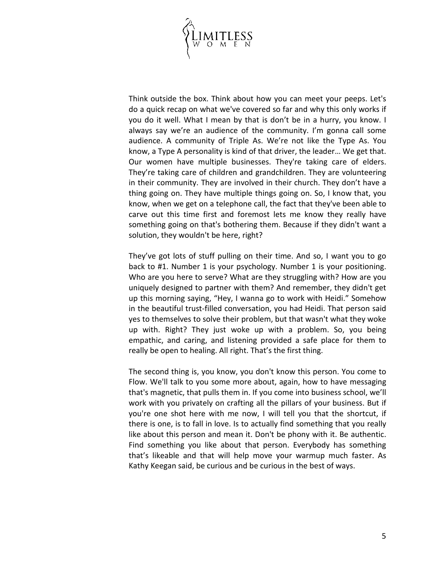

Think outside the box. Think about how you can meet your peeps. Let's do a quick recap on what we've covered so far and why this only works if you do it well. What I mean by that is don't be in a hurry, you know. I always say we're an audience of the community. I'm gonna call some audience. A community of Triple As. We're not like the Type As. You know, a Type A personality is kind of that driver, the leader… We get that. Our women have multiple businesses. They're taking care of elders. They're taking care of children and grandchildren. They are volunteering in their community. They are involved in their church. They don't have a thing going on. They have multiple things going on. So, I know that, you know, when we get on a telephone call, the fact that they've been able to carve out this time first and foremost lets me know they really have something going on that's bothering them. Because if they didn't want a solution, they wouldn't be here, right?

They've got lots of stuff pulling on their time. And so, I want you to go back to #1. Number 1 is your psychology. Number 1 is your positioning. Who are you here to serve? What are they struggling with? How are you uniquely designed to partner with them? And remember, they didn't get up this morning saying, "Hey, I wanna go to work with Heidi." Somehow in the beautiful trust-filled conversation, you had Heidi. That person said yes to themselves to solve their problem, but that wasn't what they woke up with. Right? They just woke up with a problem. So, you being empathic, and caring, and listening provided a safe place for them to really be open to healing. All right. That's the first thing.

The second thing is, you know, you don't know this person. You come to Flow. We'll talk to you some more about, again, how to have messaging that's magnetic, that pulls them in. If you come into business school, we'll work with you privately on crafting all the pillars of your business. But if you're one shot here with me now, I will tell you that the shortcut, if there is one, is to fall in love. Is to actually find something that you really like about this person and mean it. Don't be phony with it. Be authentic. Find something you like about that person. Everybody has something that's likeable and that will help move your warmup much faster. As Kathy Keegan said, be curious and be curious in the best of ways.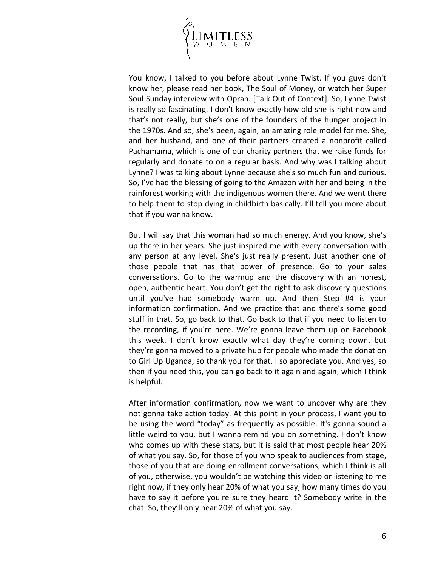

You know, I talked to you before about Lynne Twist. If you guys don't know her, please read her book, The Soul of Money, or watch her Super Soul Sunday interview with Oprah. [Talk Out of Context]. So, Lynne Twist is really so fascinating. I don't know exactly how old she is right now and that's not really, but she's one of the founders of the hunger project in the 1970s. And so, she's been, again, an amazing role model for me. She, and her husband, and one of their partners created a nonprofit called Pachamama, which is one of our charity partners that we raise funds for regularly and donate to on a regular basis. And why was I talking about Lynne? I was talking about Lynne because she's so much fun and curious. So, I've had the blessing of going to the Amazon with her and being in the rainforest working with the indigenous women there. And we went there to help them to stop dying in childbirth basically. I'll tell you more about that if you wanna know.

But I will say that this woman had so much energy. And you know, she's up there in her years. She just inspired me with every conversation with any person at any level. She's just really present. Just another one of those people that has that power of presence. Go to your sales conversations. Go to the warmup and the discovery with an honest, open, authentic heart. You don't get the right to ask discovery questions until you've had somebody warm up. And then Step #4 is your information confirmation. And we practice that and there's some good stuff in that. So, go back to that. Go back to that if you need to listen to the recording, if you're here. We're gonna leave them up on Facebook this week. I don't know exactly what day they're coming down, but they're gonna moved to a private hub for people who made the donation to Girl Up Uganda, so thank you for that. I so appreciate you. And yes, so then if you need this, you can go back to it again and again, which I think is helpful.

After information confirmation, now we want to uncover why are they not gonna take action today. At this point in your process, I want you to be using the word "today" as frequently as possible. It's gonna sound a little weird to you, but I wanna remind you on something. I don't know who comes up with these stats, but it is said that most people hear 20% of what you say. So, for those of you who speak to audiences from stage, those of you that are doing enrollment conversations, which I think is all of you, otherwise, you wouldn't be watching this video or listening to me right now, if they only hear 20% of what you say, how many times do you have to say it before you're sure they heard it? Somebody write in the chat. So, they'll only hear 20% of what you say.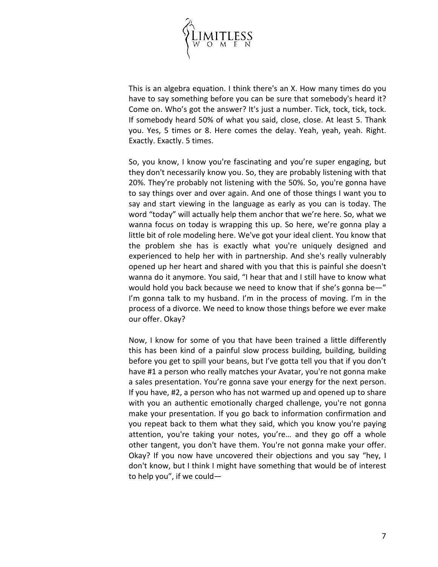

This is an algebra equation. I think there's an X. How many times do you have to say something before you can be sure that somebody's heard it? Come on. Who's got the answer? It's just a number. Tick, tock, tick, tock. If somebody heard 50% of what you said, close, close. At least 5. Thank you. Yes, 5 times or 8. Here comes the delay. Yeah, yeah, yeah. Right. Exactly. Exactly. 5 times.

So, you know, I know you're fascinating and you're super engaging, but they don't necessarily know you. So, they are probably listening with that 20%. They're probably not listening with the 50%. So, you're gonna have to say things over and over again. And one of those things I want you to say and start viewing in the language as early as you can is today. The word "today" will actually help them anchor that we're here. So, what we wanna focus on today is wrapping this up. So here, we're gonna play a little bit of role modeling here. We've got your ideal client. You know that the problem she has is exactly what you're uniquely designed and experienced to help her with in partnership. And she's really vulnerably opened up her heart and shared with you that this is painful she doesn't wanna do it anymore. You said, "I hear that and I still have to know what would hold you back because we need to know that if she's gonna be—" I'm gonna talk to my husband. I'm in the process of moving. I'm in the process of a divorce. We need to know those things before we ever make our offer. Okay?

Now, I know for some of you that have been trained a little differently this has been kind of a painful slow process building, building, building before you get to spill your beans, but I've gotta tell you that if you don't have #1 a person who really matches your Avatar, you're not gonna make a sales presentation. You're gonna save your energy for the next person. If you have, #2, a person who has not warmed up and opened up to share with you an authentic emotionally charged challenge, you're not gonna make your presentation. If you go back to information confirmation and you repeat back to them what they said, which you know you're paying attention, you're taking your notes, you're… and they go off a whole other tangent, you don't have them. You're not gonna make your offer. Okay? If you now have uncovered their objections and you say "hey, I don't know, but I think I might have something that would be of interest to help you", if we could—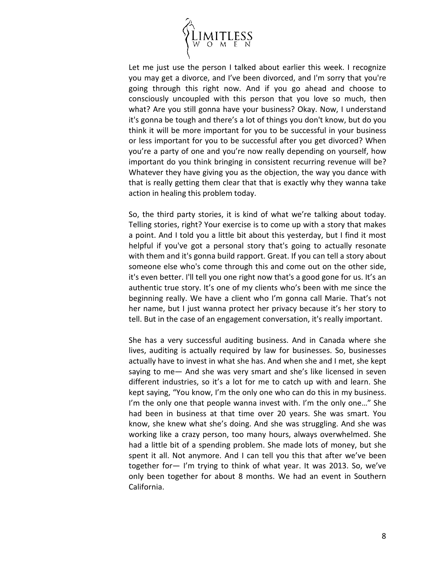

Let me just use the person I talked about earlier this week. I recognize you may get a divorce, and I've been divorced, and I'm sorry that you're going through this right now. And if you go ahead and choose to consciously uncoupled with this person that you love so much, then what? Are you still gonna have your business? Okay. Now, I understand it's gonna be tough and there's a lot of things you don't know, but do you think it will be more important for you to be successful in your business or less important for you to be successful after you get divorced? When you're a party of one and you're now really depending on yourself, how important do you think bringing in consistent recurring revenue will be? Whatever they have giving you as the objection, the way you dance with that is really getting them clear that that is exactly why they wanna take action in healing this problem today.

So, the third party stories, it is kind of what we're talking about today. Telling stories, right? Your exercise is to come up with a story that makes a point. And I told you a little bit about this yesterday, but I find it most helpful if you've got a personal story that's going to actually resonate with them and it's gonna build rapport. Great. If you can tell a story about someone else who's come through this and come out on the other side, it's even better. I'll tell you one right now that's a good gone for us. It's an authentic true story. It's one of my clients who's been with me since the beginning really. We have a client who I'm gonna call Marie. That's not her name, but I just wanna protect her privacy because it's her story to tell. But in the case of an engagement conversation, it's really important.

She has a very successful auditing business. And in Canada where she lives, auditing is actually required by law for businesses. So, businesses actually have to invest in what she has. And when she and I met, she kept saying to me— And she was very smart and she's like licensed in seven different industries, so it's a lot for me to catch up with and learn. She kept saying, "You know, I'm the only one who can do this in my business. I'm the only one that people wanna invest with. I'm the only one..." She had been in business at that time over 20 years. She was smart. You know, she knew what she's doing. And she was struggling. And she was working like a crazy person, too many hours, always overwhelmed. She had a little bit of a spending problem. She made lots of money, but she spent it all. Not anymore. And I can tell you this that after we've been together for— I'm trying to think of what year. It was 2013. So, we've only been together for about 8 months. We had an event in Southern California.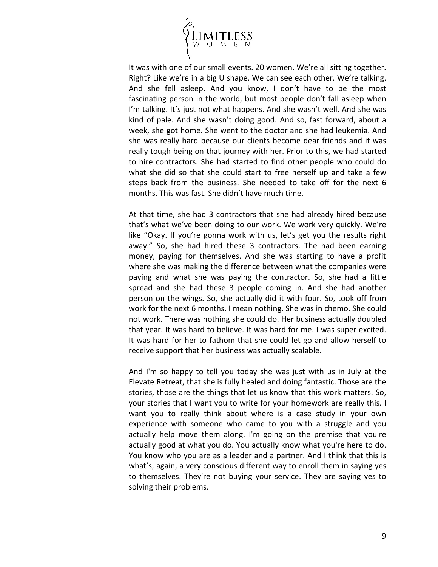

It was with one of our small events. 20 women. We're all sitting together. Right? Like we're in a big U shape. We can see each other. We're talking. And she fell asleep. And you know, I don't have to be the most fascinating person in the world, but most people don't fall asleep when I'm talking. It's just not what happens. And she wasn't well. And she was kind of pale. And she wasn't doing good. And so, fast forward, about a week, she got home. She went to the doctor and she had leukemia. And she was really hard because our clients become dear friends and it was really tough being on that journey with her. Prior to this, we had started to hire contractors. She had started to find other people who could do what she did so that she could start to free herself up and take a few steps back from the business. She needed to take off for the next 6 months. This was fast. She didn't have much time.

At that time, she had 3 contractors that she had already hired because that's what we've been doing to our work. We work very quickly. We're like "Okay. If you're gonna work with us, let's get you the results right away." So, she had hired these 3 contractors. The had been earning money, paying for themselves. And she was starting to have a profit where she was making the difference between what the companies were paying and what she was paying the contractor. So, she had a little spread and she had these 3 people coming in. And she had another person on the wings. So, she actually did it with four. So, took off from work for the next 6 months. I mean nothing. She was in chemo. She could not work. There was nothing she could do. Her business actually doubled that year. It was hard to believe. It was hard for me. I was super excited. It was hard for her to fathom that she could let go and allow herself to receive support that her business was actually scalable.

And I'm so happy to tell you today she was just with us in July at the Elevate Retreat, that she is fully healed and doing fantastic. Those are the stories, those are the things that let us know that this work matters. So, your stories that I want you to write for your homework are really this. I want you to really think about where is a case study in your own experience with someone who came to you with a struggle and you actually help move them along. I'm going on the premise that you're actually good at what you do. You actually know what you're here to do. You know who you are as a leader and a partner. And I think that this is what's, again, a very conscious different way to enroll them in saying yes to themselves. They're not buying your service. They are saying yes to solving their problems.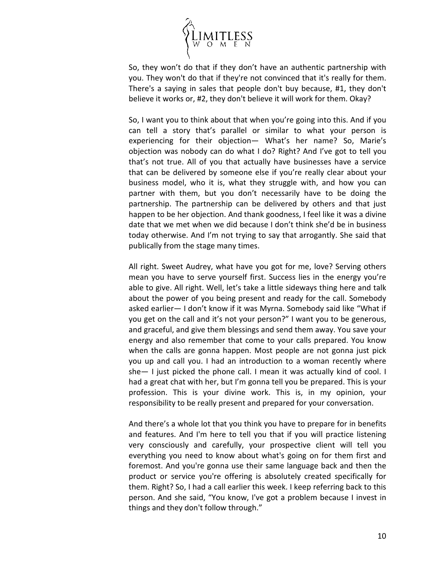

So, they won't do that if they don't have an authentic partnership with you. They won't do that if they're not convinced that it's really for them. There's a saying in sales that people don't buy because, #1, they don't believe it works or, #2, they don't believe it will work for them. Okay?

So, I want you to think about that when you're going into this. And if you can tell a story that's parallel or similar to what your person is experiencing for their objection— What's her name? So, Marie's objection was nobody can do what I do? Right? And I've got to tell you that's not true. All of you that actually have businesses have a service that can be delivered by someone else if you're really clear about your business model, who it is, what they struggle with, and how you can partner with them, but you don't necessarily have to be doing the partnership. The partnership can be delivered by others and that just happen to be her objection. And thank goodness, I feel like it was a divine date that we met when we did because I don't think she'd be in business today otherwise. And I'm not trying to say that arrogantly. She said that publically from the stage many times.

All right. Sweet Audrey, what have you got for me, love? Serving others mean you have to serve yourself first. Success lies in the energy you're able to give. All right. Well, let's take a little sideways thing here and talk about the power of you being present and ready for the call. Somebody asked earlier— I don't know if it was Myrna. Somebody said like "What if you get on the call and it's not your person?" I want you to be generous, and graceful, and give them blessings and send them away. You save your energy and also remember that come to your calls prepared. You know when the calls are gonna happen. Most people are not gonna just pick you up and call you. I had an introduction to a woman recently where she— I just picked the phone call. I mean it was actually kind of cool. I had a great chat with her, but I'm gonna tell you be prepared. This is your profession. This is your divine work. This is, in my opinion, your responsibility to be really present and prepared for your conversation.

And there's a whole lot that you think you have to prepare for in benefits and features. And I'm here to tell you that if you will practice listening very consciously and carefully, your prospective client will tell you everything you need to know about what's going on for them first and foremost. And you're gonna use their same language back and then the product or service you're offering is absolutely created specifically for them. Right? So, I had a call earlier this week. I keep referring back to this person. And she said, "You know, I've got a problem because I invest in things and they don't follow through."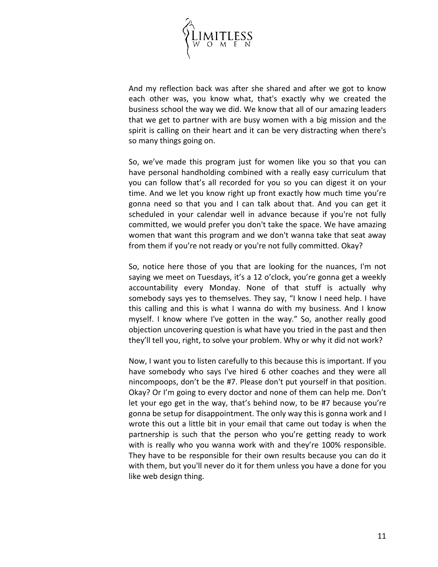

And my reflection back was after she shared and after we got to know each other was, you know what, that's exactly why we created the business school the way we did. We know that all of our amazing leaders that we get to partner with are busy women with a big mission and the spirit is calling on their heart and it can be very distracting when there's so many things going on.

So, we've made this program just for women like you so that you can have personal handholding combined with a really easy curriculum that you can follow that's all recorded for you so you can digest it on your time. And we let you know right up front exactly how much time you're gonna need so that you and I can talk about that. And you can get it scheduled in your calendar well in advance because if you're not fully committed, we would prefer you don't take the space. We have amazing women that want this program and we don't wanna take that seat away from them if you're not ready or you're not fully committed. Okay?

So, notice here those of you that are looking for the nuances, I'm not saying we meet on Tuesdays, it's a 12 o'clock, you're gonna get a weekly accountability every Monday. None of that stuff is actually why somebody says yes to themselves. They say, "I know I need help. I have this calling and this is what I wanna do with my business. And I know myself. I know where I've gotten in the way." So, another really good objection uncovering question is what have you tried in the past and then they'll tell you, right, to solve your problem. Why or why it did not work?

Now, I want you to listen carefully to this because this is important. If you have somebody who says I've hired 6 other coaches and they were all nincompoops, don't be the #7. Please don't put yourself in that position. Okay? Or I'm going to every doctor and none of them can help me. Don't let your ego get in the way, that's behind now, to be #7 because you're gonna be setup for disappointment. The only way this is gonna work and I wrote this out a little bit in your email that came out today is when the partnership is such that the person who you're getting ready to work with is really who you wanna work with and they're 100% responsible. They have to be responsible for their own results because you can do it with them, but you'll never do it for them unless you have a done for you like web design thing.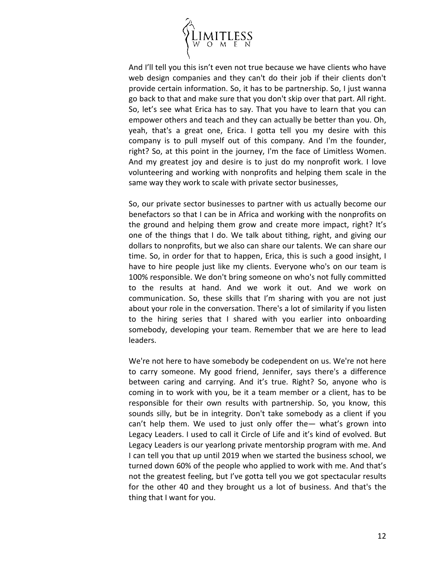

And I'll tell you this isn't even not true because we have clients who have web design companies and they can't do their job if their clients don't provide certain information. So, it has to be partnership. So, I just wanna go back to that and make sure that you don't skip over that part. All right. So, let's see what Erica has to say. That you have to learn that you can empower others and teach and they can actually be better than you. Oh, yeah, that's a great one, Erica. I gotta tell you my desire with this company is to pull myself out of this company. And I'm the founder, right? So, at this point in the journey, I'm the face of Limitless Women. And my greatest joy and desire is to just do my nonprofit work. I love volunteering and working with nonprofits and helping them scale in the same way they work to scale with private sector businesses,

So, our private sector businesses to partner with us actually become our benefactors so that I can be in Africa and working with the nonprofits on the ground and helping them grow and create more impact, right? It's one of the things that I do. We talk about tithing, right, and giving our dollars to nonprofits, but we also can share our talents. We can share our time. So, in order for that to happen, Erica, this is such a good insight, I have to hire people just like my clients. Everyone who's on our team is 100% responsible. We don't bring someone on who's not fully committed to the results at hand. And we work it out. And we work on communication. So, these skills that I'm sharing with you are not just about your role in the conversation. There's a lot of similarity if you listen to the hiring series that I shared with you earlier into onboarding somebody, developing your team. Remember that we are here to lead leaders.

We're not here to have somebody be codependent on us. We're not here to carry someone. My good friend, Jennifer, says there's a difference between caring and carrying. And it's true. Right? So, anyone who is coming in to work with you, be it a team member or a client, has to be responsible for their own results with partnership. So, you know, this sounds silly, but be in integrity. Don't take somebody as a client if you can't help them. We used to just only offer the— what's grown into Legacy Leaders. I used to call it Circle of Life and it's kind of evolved. But Legacy Leaders is our yearlong private mentorship program with me. And I can tell you that up until 2019 when we started the business school, we turned down 60% of the people who applied to work with me. And that's not the greatest feeling, but I've gotta tell you we got spectacular results for the other 40 and they brought us a lot of business. And that's the thing that I want for you.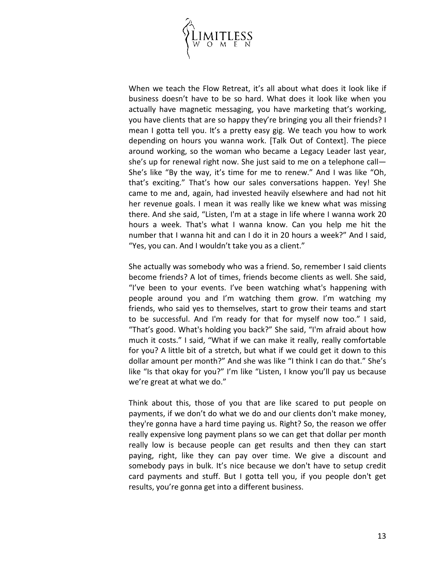

When we teach the Flow Retreat, it's all about what does it look like if business doesn't have to be so hard. What does it look like when you actually have magnetic messaging, you have marketing that's working, you have clients that are so happy they're bringing you all their friends? I mean I gotta tell you. It's a pretty easy gig. We teach you how to work depending on hours you wanna work. [Talk Out of Context]. The piece around working, so the woman who became a Legacy Leader last year, she's up for renewal right now. She just said to me on a telephone call— She's like "By the way, it's time for me to renew." And I was like "Oh, that's exciting." That's how our sales conversations happen. Yey! She came to me and, again, had invested heavily elsewhere and had not hit her revenue goals. I mean it was really like we knew what was missing there. And she said, "Listen, I'm at a stage in life where I wanna work 20 hours a week. That's what I wanna know. Can you help me hit the number that I wanna hit and can I do it in 20 hours a week?" And I said, "Yes, you can. And I wouldn't take you as a client."

She actually was somebody who was a friend. So, remember I said clients become friends? A lot of times, friends become clients as well. She said, "I've been to your events. I've been watching what's happening with people around you and I'm watching them grow. I'm watching my friends, who said yes to themselves, start to grow their teams and start to be successful. And I'm ready for that for myself now too." I said, "That's good. What's holding you back?" She said, "I'm afraid about how much it costs." I said, "What if we can make it really, really comfortable for you? A little bit of a stretch, but what if we could get it down to this dollar amount per month?" And she was like "I think I can do that." She's like "Is that okay for you?" I'm like "Listen, I know you'll pay us because we're great at what we do."

Think about this, those of you that are like scared to put people on payments, if we don't do what we do and our clients don't make money, they're gonna have a hard time paying us. Right? So, the reason we offer really expensive long payment plans so we can get that dollar per month really low is because people can get results and then they can start paying, right, like they can pay over time. We give a discount and somebody pays in bulk. It's nice because we don't have to setup credit card payments and stuff. But I gotta tell you, if you people don't get results, you're gonna get into a different business.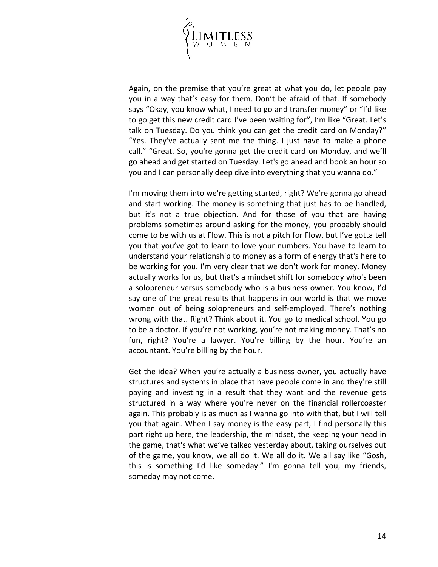

Again, on the premise that you're great at what you do, let people pay you in a way that's easy for them. Don't be afraid of that. If somebody says "Okay, you know what, I need to go and transfer money" or "I'd like to go get this new credit card I've been waiting for", I'm like "Great. Let's talk on Tuesday. Do you think you can get the credit card on Monday?" "Yes. They've actually sent me the thing. I just have to make a phone call." "Great. So, you're gonna get the credit card on Monday, and we'll go ahead and get started on Tuesday. Let's go ahead and book an hour so you and I can personally deep dive into everything that you wanna do."

I'm moving them into we're getting started, right? We're gonna go ahead and start working. The money is something that just has to be handled, but it's not a true objection. And for those of you that are having problems sometimes around asking for the money, you probably should come to be with us at Flow. This is not a pitch for Flow, but I've gotta tell you that you've got to learn to love your numbers. You have to learn to understand your relationship to money as a form of energy that's here to be working for you. I'm very clear that we don't work for money. Money actually works for us, but that's a mindset shift for somebody who's been a solopreneur versus somebody who is a business owner. You know, I'd say one of the great results that happens in our world is that we move women out of being solopreneurs and self-employed. There's nothing wrong with that. Right? Think about it. You go to medical school. You go to be a doctor. If you're not working, you're not making money. That's no fun, right? You're a lawyer. You're billing by the hour. You're an accountant. You're billing by the hour.

Get the idea? When you're actually a business owner, you actually have structures and systems in place that have people come in and they're still paying and investing in a result that they want and the revenue gets structured in a way where you're never on the financial rollercoaster again. This probably is as much as I wanna go into with that, but I will tell you that again. When I say money is the easy part, I find personally this part right up here, the leadership, the mindset, the keeping your head in the game, that's what we've talked yesterday about, taking ourselves out of the game, you know, we all do it. We all do it. We all say like "Gosh, this is something I'd like someday." I'm gonna tell you, my friends, someday may not come.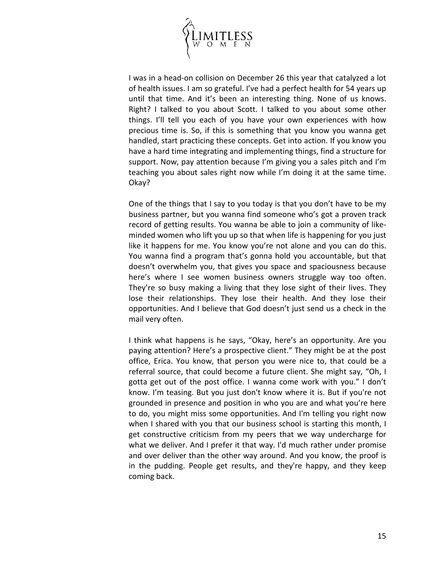

I was in a head-on collision on December 26 this year that catalyzed a lot of health issues. I am so grateful. I've had a perfect health for 54 years up until that time. And it's been an interesting thing. None of us knows. Right? I talked to you about Scott. I talked to you about some other things. I'll tell you each of you have your own experiences with how precious time is. So, if this is something that you know you wanna get handled, start practicing these concepts. Get into action. If you know you have a hard time integrating and implementing things, find a structure for support. Now, pay attention because I'm giving you a sales pitch and I'm teaching you about sales right now while I'm doing it at the same time. Okay?

One of the things that I say to you today is that you don't have to be my business partner, but you wanna find someone who's got a proven track record of getting results. You wanna be able to join a community of likeminded women who lift you up so that when life is happening for you just like it happens for me. You know you're not alone and you can do this. You wanna find a program that's gonna hold you accountable, but that doesn't overwhelm you, that gives you space and spaciousness because here's where I see women business owners struggle way too often. They're so busy making a living that they lose sight of their lives. They lose their relationships. They lose their health. And they lose their opportunities. And I believe that God doesn't just send us a check in the mail very often.

I think what happens is he says, "Okay, here's an opportunity. Are you paying attention? Here's a prospective client." They might be at the post office, Erica. You know, that person you were nice to, that could be a referral source, that could become a future client. She might say, "Oh, I gotta get out of the post office. I wanna come work with you." I don't know. I'm teasing. But you just don't know where it is. But if you're not grounded in presence and position in who you are and what you're here to do, you might miss some opportunities. And I'm telling you right now when I shared with you that our business school is starting this month, I get constructive criticism from my peers that we way undercharge for what we deliver. And I prefer it that way. I'd much rather under promise and over deliver than the other way around. And you know, the proof is in the pudding. People get results, and they're happy, and they keep coming back.